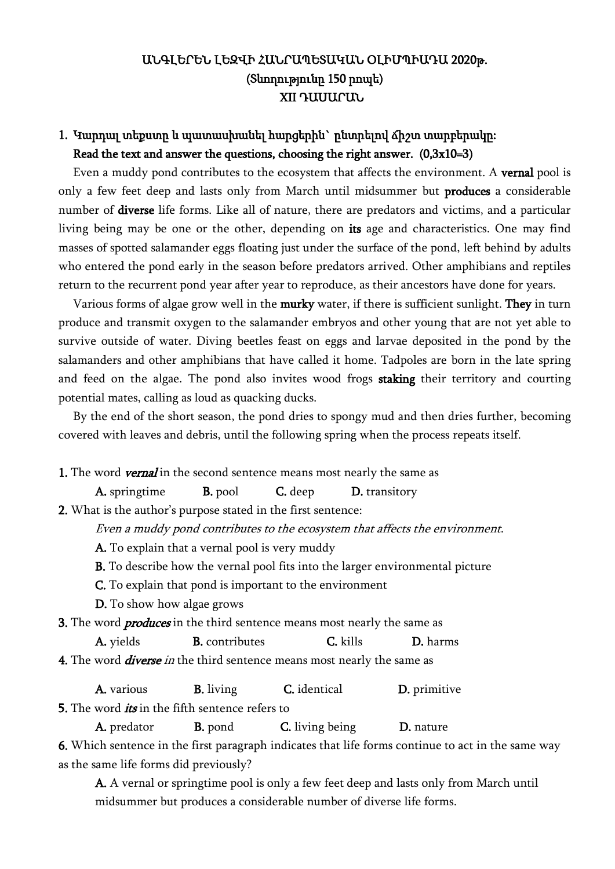## ԱՆԳԼԵՐԵՆ ԼԵԶՎԻ ՀԱՆՐԱՊԵՏԱԿԱՆ ՕԼԻՄՊԻԱԴԱ 2020թ. (Տևողությունը 150 րոպե) XII ԴԱՍԱՐԱՆ

### 1. Կարդալ տեքստը և պատասխանել հարցերին` ընտրելով ճիշտ տարբերակը: Read the text and answer the questions, choosing the right answer.  $(0,3x10=3)$

Even a muddy pond contributes to the ecosystem that affects the environment. A vernal pool is only a few feet deep and lasts only from March until midsummer but produces a considerable number of diverse life forms. Like all of nature, there are predators and victims, and a particular living being may be one or the other, depending on its age and characteristics. One may find masses of spotted salamander eggs floating just under the surface of the pond, left behind by adults who entered the pond early in the season before predators arrived. Other amphibians and reptiles return to the recurrent pond year after year to reproduce, as their ancestors have done for years.

Various forms of algae grow well in the **murky** water, if there is sufficient sunlight. They in turn produce and transmit oxygen to the salamander embryos and other young that are not yet able to survive outside of water. Diving beetles feast on eggs and larvae deposited in the pond by the salamanders and other amphibians that have called it home. Tadpoles are born in the late spring and feed on the algae. The pond also invites wood frogs staking their territory and courting potential mates, calling as loud as quacking ducks.

By the end of the short season, the pond dries to spongy mud and then dries further, becoming covered with leaves and debris, until the following spring when the process repeats itself.

1. The word **vernal** in the second sentence means most nearly the same as A. springtime B. pool C. deep D. transitory 2. What is the author's purpose stated in the first sentence: Even a muddy pond contributes to the ecosystem that affects the environment. A. To explain that a vernal pool is very muddy B. To describe how the vernal pool fits into the larger environmental picture C. To explain that pond is important to the environment D. To show how algae grows 3. The word *produces* in the third sentence means most nearly the same as A. yields **B.** contributes **C.** kills **D.** harms 4. The word *diverse in* the third sentence means most nearly the same as A. various **B.** living **C.** identical **D.** primitive 5. The word *its* in the fifth sentence refers to A. predator **B.** pond **C.** living being **D.** nature 6. Which sentence in the first paragraph indicates that life forms continue to act in the same way as the same life forms did previously?

A. A vernal or springtime pool is only a few feet deep and lasts only from March until midsummer but produces a considerable number of diverse life forms.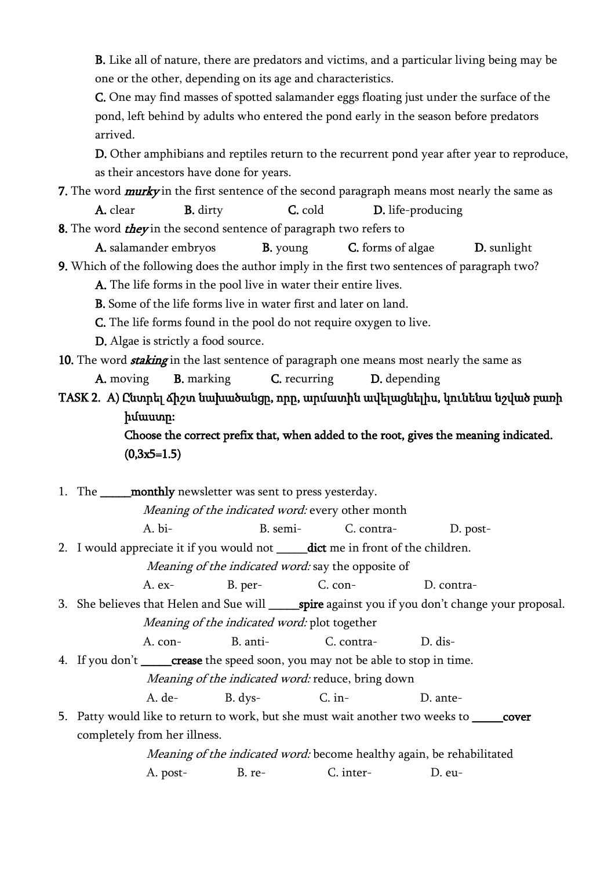B. Like all of nature, there are predators and victims, and a particular living being may be one or the other, depending on its age and characteristics.

C. One may find masses of spotted salamander eggs floating just under the surface of the pond, left behind by adults who entered the pond early in the season before predators arrived.

D. Other amphibians and reptiles return to the recurrent pond year after year to reproduce, as their ancestors have done for years.

7. The word **murky** in the first sentence of the second paragraph means most nearly the same as A. clear B. dirty C. cold D. life-producing

8. The word *they* in the second sentence of paragraph two refers to

A. salamander embryos B. young C. forms of algae D. sunlight

9. Which of the following does the author imply in the first two sentences of paragraph two?

A. The life forms in the pool live in water their entire lives.

B. Some of the life forms live in water first and later on land.

C. The life forms found in the pool do not require oxygen to live.

D. Algae is strictly a food source.

10. The word *staking* in the last sentence of paragraph one means most nearly the same as

A. moving B. marking C. recurring D. depending

TASK 2. A) Ընտրել ճիշտ նախածանցը, որը, արմատին ավելացնելիս, կունենա նշված բառի իմաստը:

> Choose the correct prefix that, when added to the root, gives the meaning indicated.  $(0,3x5=1.5)$

1. The **monthly** newsletter was sent to press yesterday. Meaning of the indicated word: every other month A. bi- B. semi- C. contra- D. post-2. I would appreciate it if you would not \_\_\_\_\_dict me in front of the children. Meaning of the indicated word: say the opposite of

A. ex- B. per- C. con- D. contra-

3. She believes that Helen and Sue will \_\_\_\_\_spire against you if you don't change your proposal. Meaning of the indicated word: plot together

A. con- B. anti- C. contra- D. dis-

4. If you don't crease the speed soon, you may not be able to stop in time.

Meaning of the indicated word: reduce, bring down

A. de- B. dys- C. in- D. ante-

5. Patty would like to return to work, but she must wait another two weeks to cover completely from her illness.

> Meaning of the indicated word: become healthy again, be rehabilitated A. post- B. re- C. inter- D. eu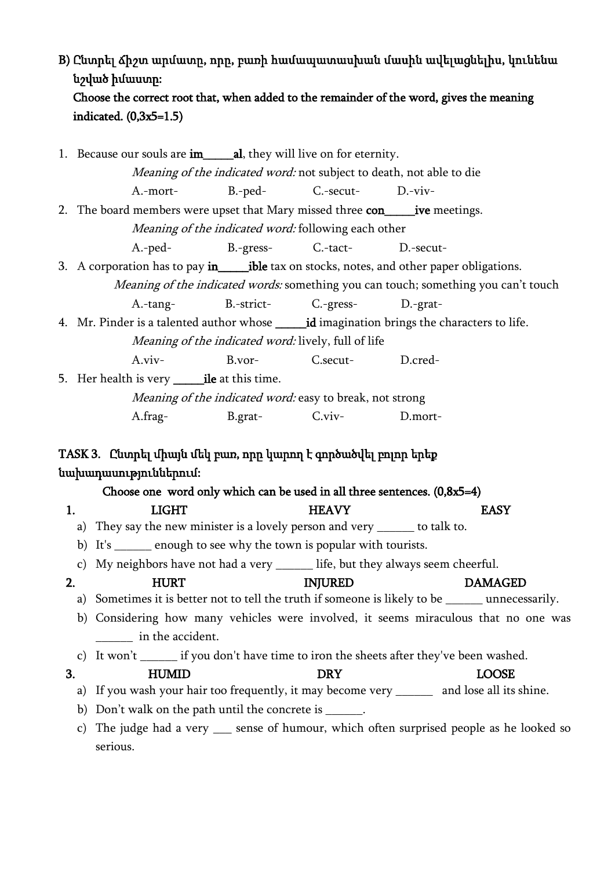B) Ընտրել ճիշտ արմատը, որը, բառի համապատասխան մասին ավելացնելիս, կունենա նշված իմաստը:

# Choose the correct root that, when added to the remainder of the word, gives the meaning indicated. (0,3x5=1.5)

|                                                                                    |                                                                                                  | Meaning of the indicated word: not subject to death, not able to die                               |                    |                                                          |                                                                                       |  |  |  |
|------------------------------------------------------------------------------------|--------------------------------------------------------------------------------------------------|----------------------------------------------------------------------------------------------------|--------------------|----------------------------------------------------------|---------------------------------------------------------------------------------------|--|--|--|
|                                                                                    |                                                                                                  | A.-mort-                                                                                           | B.-ped-            | C.-secut-                                                | $D.-viv-$                                                                             |  |  |  |
|                                                                                    |                                                                                                  | 2. The board members were upset that Mary missed three con______ive meetings.                      |                    |                                                          |                                                                                       |  |  |  |
| Meaning of the indicated word: following each other                                |                                                                                                  |                                                                                                    |                    |                                                          |                                                                                       |  |  |  |
|                                                                                    |                                                                                                  | $A.-ped-$                                                                                          | B.-gress- C.-tact- |                                                          | D.-secut-                                                                             |  |  |  |
|                                                                                    |                                                                                                  | 3. A corporation has to pay in______ible tax on stocks, notes, and other paper obligations.        |                    |                                                          |                                                                                       |  |  |  |
| Meaning of the indicated words: something you can touch; something you can't touch |                                                                                                  |                                                                                                    |                    |                                                          |                                                                                       |  |  |  |
|                                                                                    |                                                                                                  | A.-tang-                                                                                           |                    | B.-strict- C.-gress- D.-grat-                            |                                                                                       |  |  |  |
|                                                                                    |                                                                                                  | 4. Mr. Pinder is a talented author whose <b>_____id</b> imagination brings the characters to life. |                    |                                                          |                                                                                       |  |  |  |
| Meaning of the indicated word: lively, full of life                                |                                                                                                  |                                                                                                    |                    |                                                          |                                                                                       |  |  |  |
|                                                                                    |                                                                                                  | $A.viv-$                                                                                           | B.vor-             | C.secut-                                                 | D.cred-                                                                               |  |  |  |
|                                                                                    |                                                                                                  | 5. Her health is very _______ ile at this time.                                                    |                    |                                                          |                                                                                       |  |  |  |
|                                                                                    |                                                                                                  |                                                                                                    |                    | Meaning of the indicated word: easy to break, not strong |                                                                                       |  |  |  |
|                                                                                    |                                                                                                  | A.frag-                                                                                            | B.grat-            | $C.viv-$                                                 | D.mort-                                                                               |  |  |  |
|                                                                                    |                                                                                                  |                                                                                                    |                    |                                                          |                                                                                       |  |  |  |
|                                                                                    |                                                                                                  | TASK 3. Ընտրել միայն մեկ բառ, որը կարող է գործածվել բոլոր երեք                                     |                    |                                                          |                                                                                       |  |  |  |
|                                                                                    |                                                                                                  | նախադասություններում։                                                                              |                    |                                                          |                                                                                       |  |  |  |
|                                                                                    |                                                                                                  | Choose one word only which can be used in all three sentences. $(0,8x5=4)$                         |                    |                                                          |                                                                                       |  |  |  |
| 1.                                                                                 |                                                                                                  | <b>LIGHT</b>                                                                                       |                    | <b>HEAVY</b>                                             | <b>EASY</b>                                                                           |  |  |  |
|                                                                                    | a) They say the new minister is a lovely person and very ______ to talk to.                      |                                                                                                    |                    |                                                          |                                                                                       |  |  |  |
|                                                                                    |                                                                                                  | b) It's ______ enough to see why the town is popular with tourists.                                |                    |                                                          |                                                                                       |  |  |  |
|                                                                                    |                                                                                                  | c) My neighbors have not had a very ______ life, but they always seem cheerful.                    |                    |                                                          |                                                                                       |  |  |  |
| 2.                                                                                 |                                                                                                  | <b>HURT</b>                                                                                        |                    | <b>INJURED</b>                                           | <b>DAMAGED</b>                                                                        |  |  |  |
|                                                                                    | a) Sometimes it is better not to tell the truth if someone is likely to be ______ unnecessarily. |                                                                                                    |                    |                                                          |                                                                                       |  |  |  |
|                                                                                    |                                                                                                  |                                                                                                    |                    |                                                          | b) Considering how many vehicles were involved, it seems miraculous that no one was   |  |  |  |
|                                                                                    |                                                                                                  | in the accident.                                                                                   |                    |                                                          |                                                                                       |  |  |  |
|                                                                                    | $\mathbf{C}$ )                                                                                   |                                                                                                    |                    |                                                          | It won't _______ if you don't have time to iron the sheets after they've been washed. |  |  |  |
| 3.                                                                                 |                                                                                                  | <b>HUMID</b>                                                                                       |                    | <b>DRY</b>                                               | <b>LOOSE</b>                                                                          |  |  |  |
|                                                                                    | a)                                                                                               | If you wash your hair too frequently, it may become very ________ and lose all its shine.          |                    |                                                          |                                                                                       |  |  |  |
|                                                                                    | b)                                                                                               | Don't walk on the path until the concrete is ______.                                               |                    |                                                          |                                                                                       |  |  |  |
|                                                                                    | $\mathbf{C}$                                                                                     | The judge had a very ___ sense of humour, which often surprised people as he looked so             |                    |                                                          |                                                                                       |  |  |  |
|                                                                                    |                                                                                                  | serious.                                                                                           |                    |                                                          |                                                                                       |  |  |  |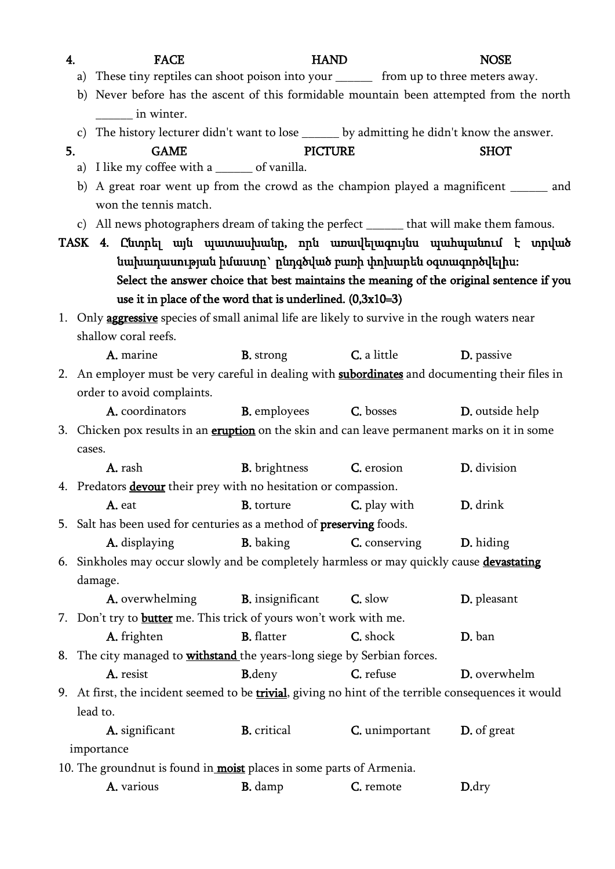| 4.                                                                                     |                                                                                                        | <b>FACE</b>                                                                                                  |                                        | <b>HAND</b>    |                    | <b>NOSE</b>     |  |  |  |  |
|----------------------------------------------------------------------------------------|--------------------------------------------------------------------------------------------------------|--------------------------------------------------------------------------------------------------------------|----------------------------------------|----------------|--------------------|-----------------|--|--|--|--|
|                                                                                        |                                                                                                        | a) These tiny reptiles can shoot poison into your _______ from up to three meters away.                      |                                        |                |                    |                 |  |  |  |  |
|                                                                                        | b) Never before has the ascent of this formidable mountain been attempted from the north               |                                                                                                              |                                        |                |                    |                 |  |  |  |  |
|                                                                                        |                                                                                                        | in winter.                                                                                                   |                                        |                |                    |                 |  |  |  |  |
|                                                                                        |                                                                                                        | c) The history lecturer didn't want to lose ______ by admitting he didn't know the answer.                   |                                        |                |                    |                 |  |  |  |  |
| 5.                                                                                     |                                                                                                        | <b>GAME</b>                                                                                                  |                                        | <b>PICTURE</b> |                    | <b>SHOT</b>     |  |  |  |  |
|                                                                                        |                                                                                                        | a) I like my coffee with a ______ of vanilla.                                                                |                                        |                |                    |                 |  |  |  |  |
| b) A great roar went up from the crowd as the champion played a magnificent ______ and |                                                                                                        |                                                                                                              |                                        |                |                    |                 |  |  |  |  |
|                                                                                        |                                                                                                        | won the tennis match.                                                                                        |                                        |                |                    |                 |  |  |  |  |
|                                                                                        |                                                                                                        | c) All news photographers dream of taking the perfect ______ that will make them famous.                     |                                        |                |                    |                 |  |  |  |  |
|                                                                                        | TASK 4. Ընտրել այն պատասխանը, որն առավելագույնս պահպանում է տրված                                      |                                                                                                              |                                        |                |                    |                 |  |  |  |  |
|                                                                                        | նախադասության իմաստը` ընդգծված բառի փոխարեն օգտագործվելիս։                                             |                                                                                                              |                                        |                |                    |                 |  |  |  |  |
|                                                                                        | Select the answer choice that best maintains the meaning of the original sentence if you               |                                                                                                              |                                        |                |                    |                 |  |  |  |  |
| use it in place of the word that is underlined. $(0,3x10=3)$                           |                                                                                                        |                                                                                                              |                                        |                |                    |                 |  |  |  |  |
|                                                                                        | 1. Only <b>aggressive</b> species of small animal life are likely to survive in the rough waters near  |                                                                                                              |                                        |                |                    |                 |  |  |  |  |
|                                                                                        |                                                                                                        | shallow coral reefs.                                                                                         |                                        |                |                    |                 |  |  |  |  |
|                                                                                        |                                                                                                        | A. marine                                                                                                    | <b>B.</b> strong                       |                | <b>C.</b> a little | D. passive      |  |  |  |  |
|                                                                                        | 2. An employer must be very careful in dealing with <b>subordinates</b> and documenting their files in |                                                                                                              |                                        |                |                    |                 |  |  |  |  |
|                                                                                        |                                                                                                        | order to avoid complaints.                                                                                   |                                        |                |                    |                 |  |  |  |  |
|                                                                                        |                                                                                                        | A. coordinators <b>B.</b> employees <b>C.</b> bosses                                                         |                                        |                |                    | D. outside help |  |  |  |  |
|                                                                                        | 3. Chicken pox results in an <b>eruption</b> on the skin and can leave permanent marks on it in some   |                                                                                                              |                                        |                |                    |                 |  |  |  |  |
|                                                                                        | cases.                                                                                                 |                                                                                                              |                                        |                |                    |                 |  |  |  |  |
|                                                                                        |                                                                                                        | A. rash                                                                                                      | <b>B.</b> brightness <b>C.</b> erosion |                |                    | D. division     |  |  |  |  |
|                                                                                        |                                                                                                        | 4. Predators <b>devour</b> their prey with no hesitation or compassion.                                      |                                        |                |                    |                 |  |  |  |  |
|                                                                                        |                                                                                                        | A. eat                                                                                                       | <b>B.</b> torture                      |                | C. play with       | D. drink        |  |  |  |  |
|                                                                                        | 5. Salt has been used for centuries as a method of <b>preserving</b> foods.                            |                                                                                                              |                                        |                |                    |                 |  |  |  |  |
|                                                                                        |                                                                                                        | A. displaying                                                                                                | <b>B.</b> baking                       |                | C. conserving      | D. hiding       |  |  |  |  |
|                                                                                        | 6. Sinkholes may occur slowly and be completely harmless or may quickly cause devastating              |                                                                                                              |                                        |                |                    |                 |  |  |  |  |
|                                                                                        |                                                                                                        | damage.                                                                                                      |                                        |                |                    |                 |  |  |  |  |
|                                                                                        |                                                                                                        | A. overwhelming                                                                                              | <b>B.</b> insignificant                |                | C. slow            | D. pleasant     |  |  |  |  |
|                                                                                        | 7. Don't try to <b>butter</b> me. This trick of yours won't work with me.                              |                                                                                                              |                                        |                |                    |                 |  |  |  |  |
|                                                                                        |                                                                                                        | A. frighten                                                                                                  | <b>B.</b> flatter                      |                | C. shock           | D. ban          |  |  |  |  |
|                                                                                        |                                                                                                        | 8. The city managed to <b>withstand</b> the years-long siege by Serbian forces.                              |                                        |                |                    |                 |  |  |  |  |
|                                                                                        |                                                                                                        | A. resist                                                                                                    | <b>B.deny</b>                          |                | C. refuse          | D. overwhelm    |  |  |  |  |
|                                                                                        |                                                                                                        | 9. At first, the incident seemed to be <b>trivial</b> , giving no hint of the terrible consequences it would |                                        |                |                    |                 |  |  |  |  |
| lead to.                                                                               |                                                                                                        |                                                                                                              |                                        |                |                    |                 |  |  |  |  |
|                                                                                        |                                                                                                        | A. significant                                                                                               | <b>B.</b> critical                     |                | C. unimportant     | D. of great     |  |  |  |  |
|                                                                                        |                                                                                                        | importance                                                                                                   |                                        |                |                    |                 |  |  |  |  |
|                                                                                        |                                                                                                        | 10. The groundnut is found in <b>moist</b> places in some parts of Armenia.                                  |                                        |                |                    |                 |  |  |  |  |
|                                                                                        |                                                                                                        | A. various                                                                                                   | <b>B.</b> damp                         |                | C. remote          | D.dry           |  |  |  |  |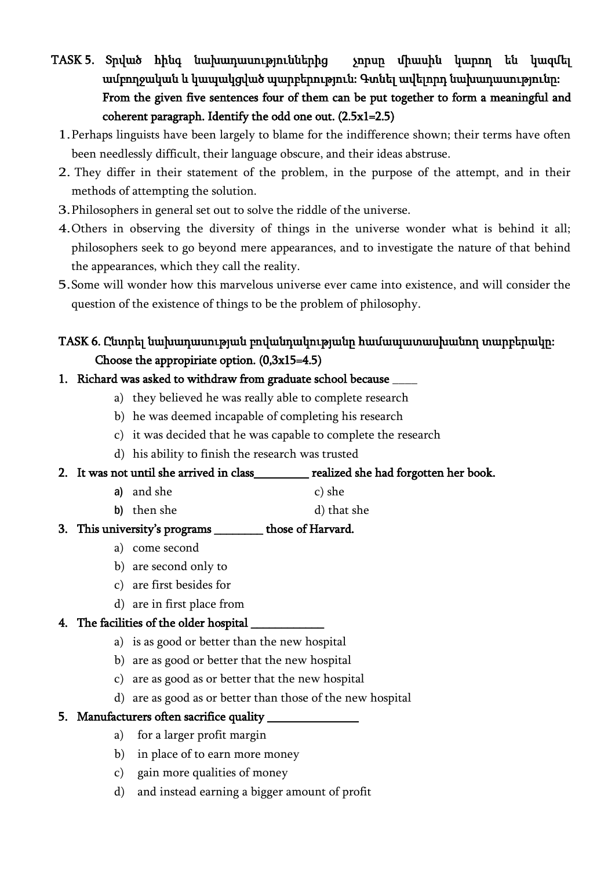- TASK 5. Տրված հինգ նախադասություններից չորսը միասին կարող են կազմել ամբողջական և կապակցված պարբերություն: Գտնել ավելորդ նախադասությունը: From the given five sentences four of them can be put together to form a meaningful and coherent paragraph. Identify the odd one out. (2.5x1=2.5)
	- 1.Perhaps linguists have been largely to blame for the indifference shown; their terms have often been needlessly difficult, their language obscure, and their ideas abstruse.
	- 2. They differ in their statement of the problem, in the purpose of the attempt, and in their methods of attempting the solution.
	- 3.Philosophers in general set out to solve the riddle of the universe.
	- 4.Others in observing the diversity of things in the universe wonder what is behind it all; philosophers seek to go beyond mere appearances, and to investigate the nature of that behind the appearances, which they call the reality.
	- 5.Some will wonder how this marvelous universe ever came into existence, and will consider the question of the existence of things to be the problem of philosophy.

## TASK 6. Ընտրել նախադասության բովանդակությանը համապատասխանող տարբերակը: Choose the appropiriate option. (0,3x15=4.5)

- 1. Richard was asked to withdraw from graduate school because
	- a) they believed he was really able to complete research
	- b) he was deemed incapable of completing his research
	- c) it was decided that he was capable to complete the research
	- d) his ability to finish the research was trusted
- 2. It was not until she arrived in class\_\_\_\_\_\_\_\_\_ realized she had forgotten her book.
	- a) and she c) she
	- b) then she d) that she
- 3. This university's programs those of Harvard.
	- a) come second
	- b) are second only to
	- c) are first besides for
	- d) are in first place from

#### 4. The facilities of the older hospital \_\_\_\_\_\_\_\_\_\_\_\_

- a) is as good or better than the new hospital
- b) are as good or better that the new hospital
- c) are as good as or better that the new hospital
- d) are as good as or better than those of the new hospital

#### 5. Manufacturers often sacrifice quality

- a) for a larger profit margin
- b) in place of to earn more money
- c) gain more qualities of money
- d) and instead earning a bigger amount of profit